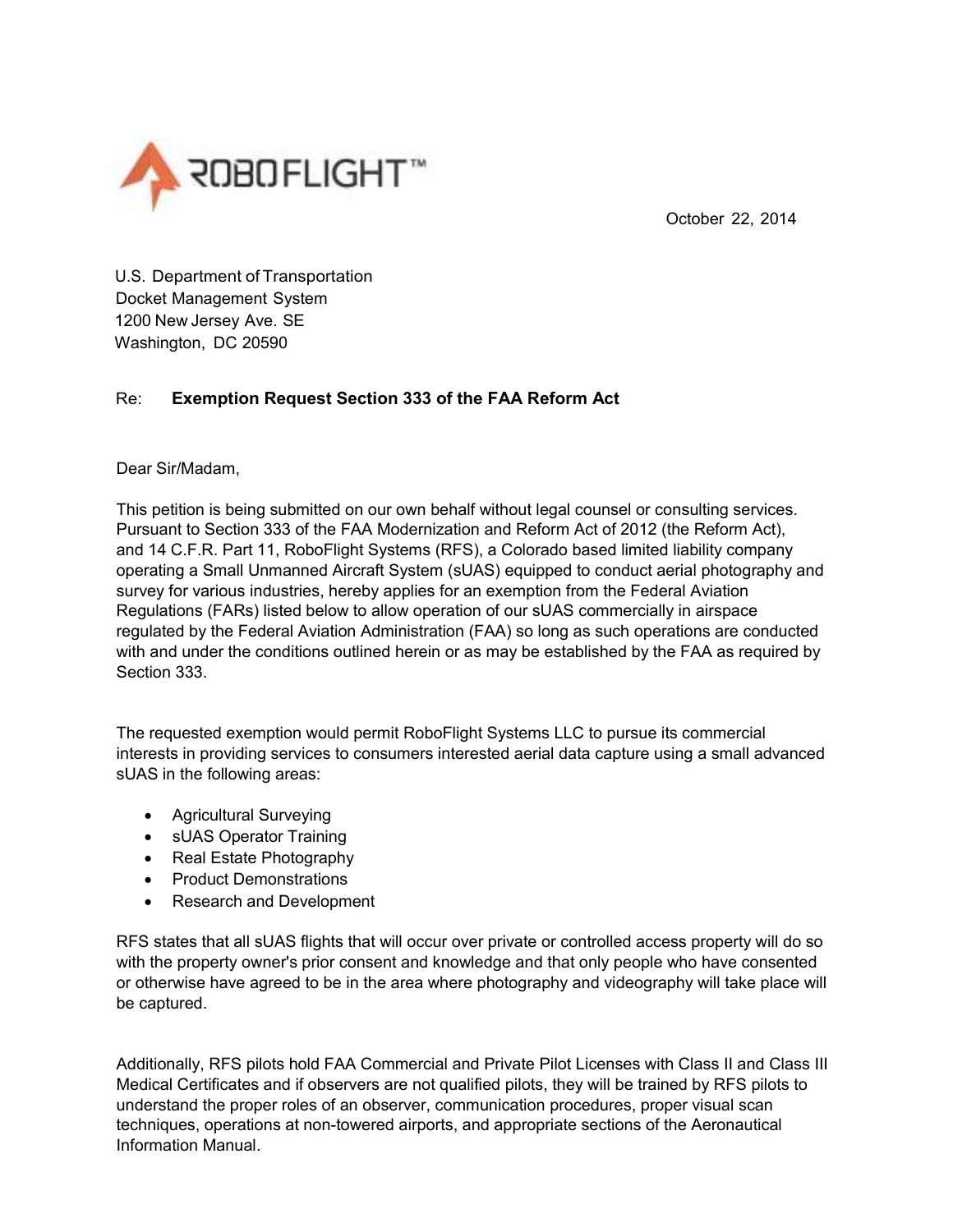

October 22, 2014

U.S. Department of Transportation Docket Management System 1200 New Jersey Ave. SE Washington, DC 20590

## Re: **Exemption Request Section 333 of the FAA Reform Act**

Dear Sir/Madam,

This petition is being submitted on our own behalf without legal counsel or consulting services. Pursuant to Section 333 of the FAA Modernization and Reform Act of 2012 (the Reform Act), and 14 C.F.R. Part 11, RoboFlight Systems (RFS), a Colorado based limited liability company operating a Small Unmanned Aircraft System (sUAS) equipped to conduct aerial photography and survey for various industries, hereby applies for an exemption from the Federal Aviation Regulations (FARs) listed below to allow operation of our sUAS commercially in airspace regulated by the Federal Aviation Administration (FAA) so long as such operations are conducted with and under the conditions outlined herein or as may be established by the FAA as required by Section 333.

The requested exemption would permit RoboFlight Systems LLC to pursue its commercial interests in providing services to consumers interested aerial data capture using a small advanced sUAS in the following areas:

- Agricultural Surveying
- sUAS Operator Training
- Real Estate Photography
- Product Demonstrations
- Research and Development

RFS states that all sUAS flights that will occur over private or controlled access property will do so with the property owner's prior consent and knowledge and that only people who have consented or otherwise have agreed to be in the area where photography and videography will take place will be captured.

Additionally, RFS pilots hold FAA Commercial and Private Pilot Licenses with Class II and Class III Medical Certificates and if observers are not qualified pilots, they will be trained by RFS pilots to understand the proper roles of an observer, communication procedures, proper visual scan techniques, operations at non-towered airports, and appropriate sections of the Aeronautical Information Manual.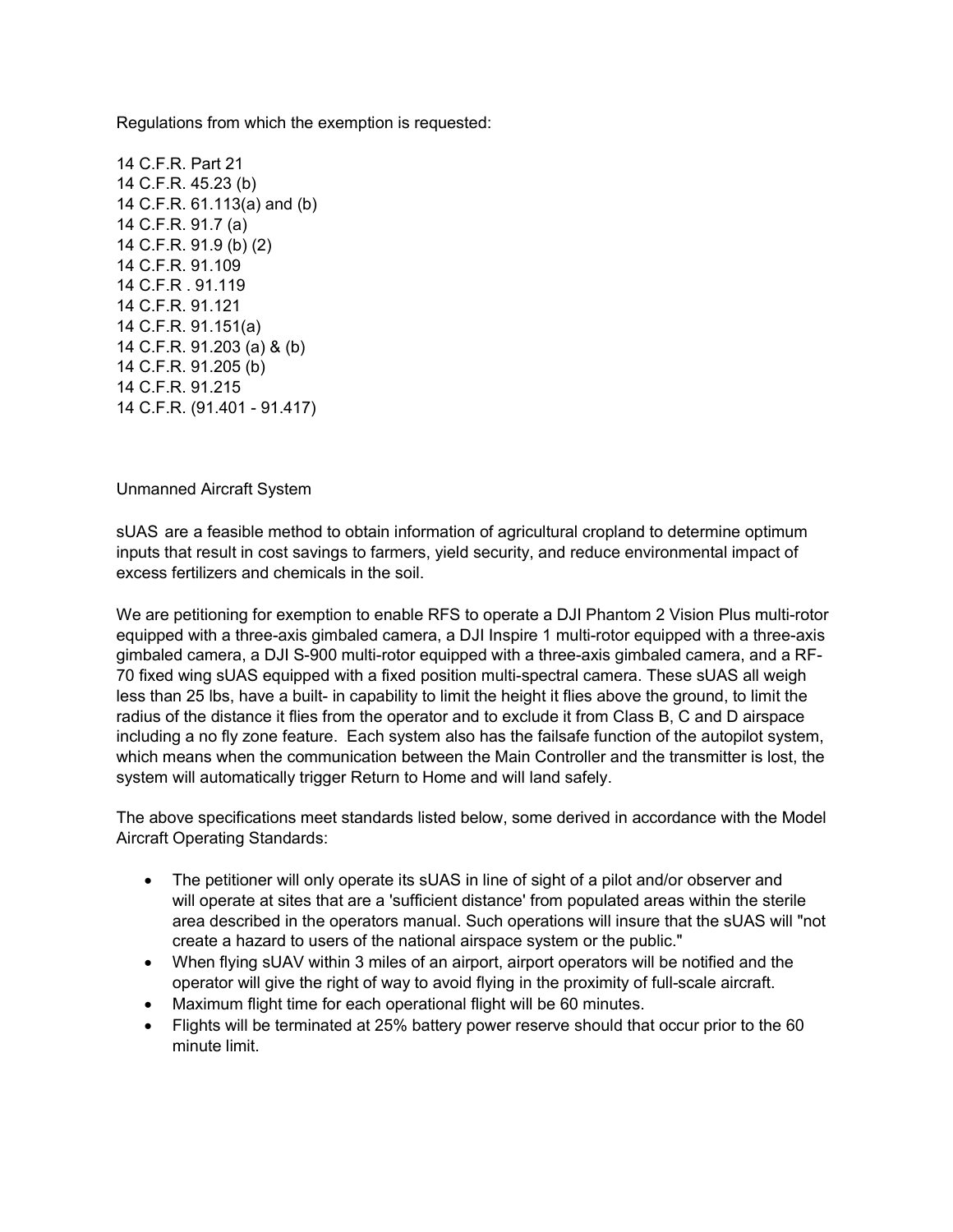Regulations from which the exemption is requested:

14 C.F.R. Part 21 14 C.F.R. 45.23 (b) 14 C.F.R. 61.113(a) and (b) 14 C.F.R. 91.7 (a) 14 C.F.R. 91.9 (b) (2) 14 C.F.R. 91.109 14 C.F.R . 91.119 14 C.F.R. 91.121 14 C.F.R. 91.151(a) 14 C.F.R. 91.203 (a) & (b) 14 C.F.R. 91.205 (b) 14 C.F.R. 91.215 14 C.F.R. (91.401 - 91.417)

Unmanned Aircraft System

sUAS are a feasible method to obtain information of agricultural cropland to determine optimum inputs that result in cost savings to farmers, yield security, and reduce environmental impact of excess fertilizers and chemicals in the soil.

We are petitioning for exemption to enable RFS to operate a DJI Phantom 2 Vision Plus multi-rotor equipped with a three-axis gimbaled camera, a DJI Inspire 1 multi-rotor equipped with a three-axis gimbaled camera, a DJI S-900 multi-rotor equipped with a three-axis gimbaled camera, and a RF-70 fixed wing sUAS equipped with a fixed position multi-spectral camera. These sUAS all weigh less than 25 lbs, have a built- in capability to limit the height it flies above the ground, to limit the radius of the distance it flies from the operator and to exclude it from Class B, C and D airspace including a no fly zone feature. Each system also has the failsafe function of the autopilot system, which means when the communication between the Main Controller and the transmitter is lost, the system will automatically trigger Return to Home and will land safely.

The above specifications meet standards listed below, some derived in accordance with the Model Aircraft Operating Standards:

- The petitioner will only operate its sUAS in line of sight of a pilot and/or observer and will operate at sites that are a 'sufficient distance' from populated areas within the sterile area described in the operators manual. Such operations will insure that the sUAS will "not create a hazard to users of the national airspace system or the public."
- When flying sUAV within 3 miles of an airport, airport operators will be notified and the operator will give the right of way to avoid flying in the proximity of full-scale aircraft.
- Maximum flight time for each operational flight will be 60 minutes.
- Flights will be terminated at 25% battery power reserve should that occur prior to the 60 minute limit.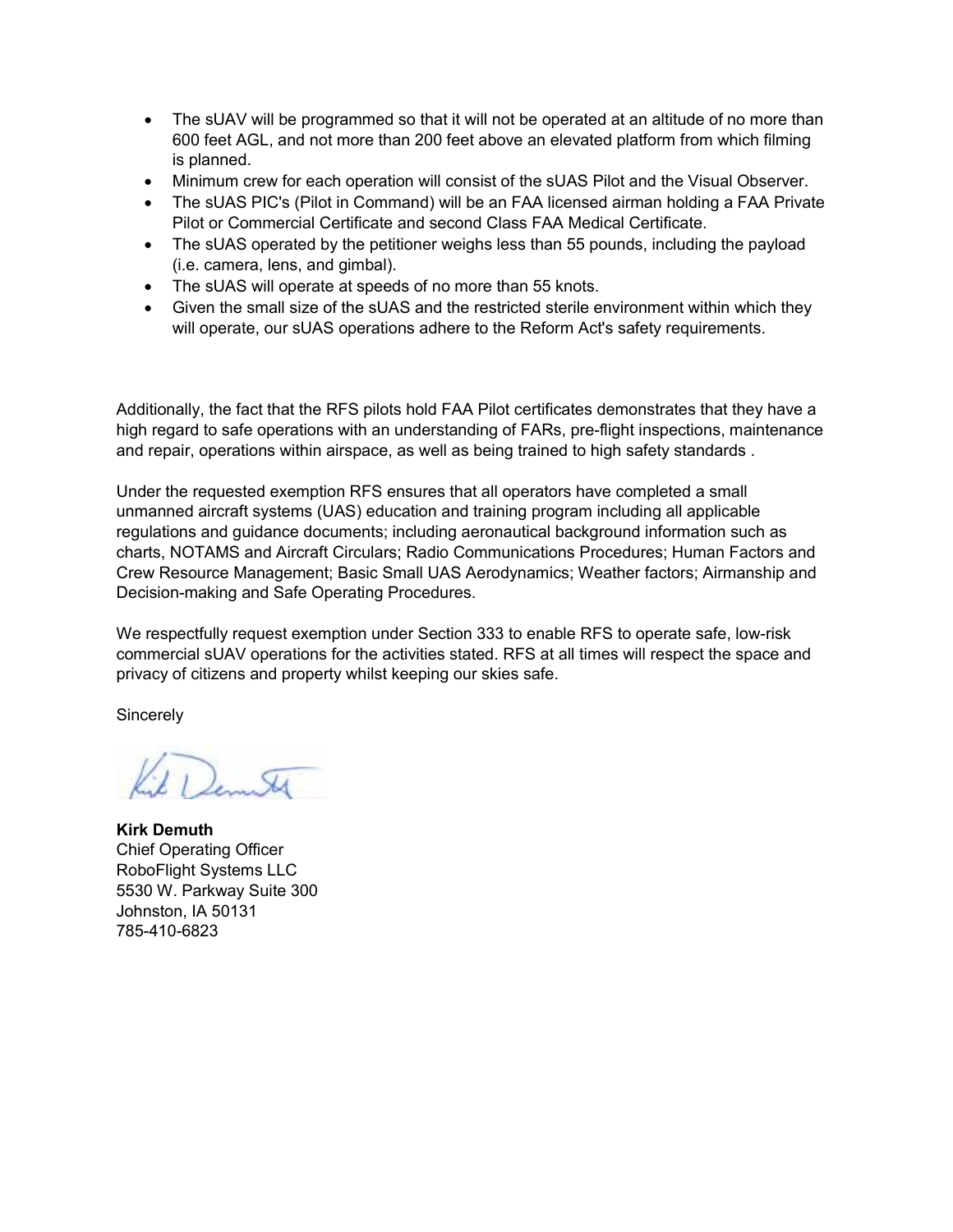- The sUAV will be programmed so that it will not be operated at an altitude of no more than 600 feet AGL, and not more than 200 feet above an elevated platform from which filming is planned.
- Minimum crew for each operation will consist of the sUAS Pilot and the Visual Observer.
- The sUAS PIC's (Pilot in Command) will be an FAA licensed airman holding a FAA Private Pilot or Commercial Certificate and second Class FAA Medical Certificate.
- The sUAS operated by the petitioner weighs less than 55 pounds, including the payload (i.e. camera, lens, and gimbal).
- The sUAS will operate at speeds of no more than 55 knots.
- Given the small size of the sUAS and the restricted sterile environment within which they will operate, our sUAS operations adhere to the Reform Act's safety requirements.

Additionally, the fact that the RFS pilots hold FAA Pilot certificates demonstrates that they have a high regard to safe operations with an understanding of FARs, pre-flight inspections, maintenance and repair, operations within airspace, as well as being trained to high safety standards .

Under the requested exemption RFS ensures that all operators have completed a small unmanned aircraft systems (UAS) education and training program including all applicable regulations and guidance documents; including aeronautical background information such as charts, NOTAMS and Aircraft Circulars; Radio Communications Procedures; Human Factors and Crew Resource Management; Basic Small UAS Aerodynamics; Weather factors; Airmanship and Decision-making and Safe Operating Procedures.

We respectfully request exemption under Section 333 to enable RFS to operate safe, low-risk commercial sUAV operations for the activities stated. RFS at all times will respect the space and privacy of citizens and property whilst keeping our skies safe.

**Sincerely** 

Demitt

**Kirk Demuth**  Chief Operating Officer RoboFlight Systems LLC 5530 W. Parkway Suite 300 Johnston, IA 50131 785-410-6823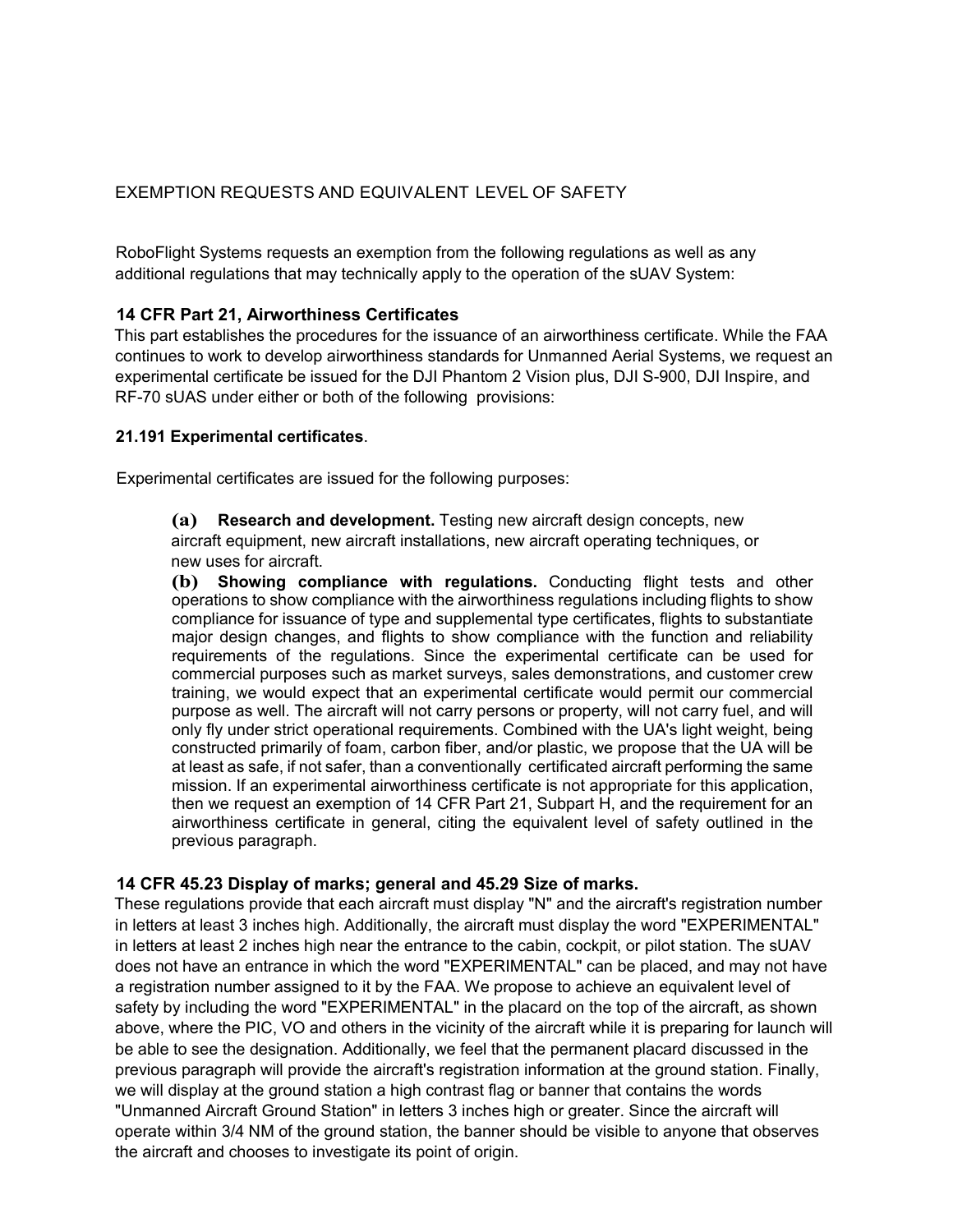## EXEMPTION REQUESTS AND EQUIVALENT LEVEL OF SAFETY

RoboFlight Systems requests an exemption from the following regulations as well as any additional regulations that may technically apply to the operation of the sUAV System:

#### **14 CFR Part 21, Airworthiness Certificates**

This part establishes the procedures for the issuance of an airworthiness certificate. While the FAA continues to work to develop airworthiness standards for Unmanned Aerial Systems, we request an experimental certificate be issued for the DJI Phantom 2 Vision plus, DJI S-900, DJI Inspire, and RF-70 sUAS under either or both of the following provisions:

#### **21.191 Experimental certificates**.

Experimental certificates are issued for the following purposes:

**(a) Research and development.** Testing new aircraft design concepts, new aircraft equipment, new aircraft installations, new aircraft operating techniques, or new uses for aircraft.

**(b) Showing compliance with regulations.** Conducting flight tests and other operations to show compliance with the airworthiness regulations including flights to show compliance for issuance of type and supplemental type certificates, flights to substantiate major design changes, and flights to show compliance with the function and reliability requirements of the regulations. Since the experimental certificate can be used for commercial purposes such as market surveys, sales demonstrations, and customer crew training, we would expect that an experimental certificate would permit our commercial purpose as well. The aircraft will not carry persons or property, will not carry fuel, and will only fly under strict operational requirements. Combined with the UA's light weight, being constructed primarily of foam, carbon fiber, and/or plastic, we propose that the UA will be at least as safe, if not safer, than a conventionally certificated aircraft performing the same mission. If an experimental airworthiness certificate is not appropriate for this application, then we request an exemption of 14 CFR Part 21, Subpart H, and the requirement for an airworthiness certificate in general, citing the equivalent level of safety outlined in the previous paragraph.

#### **14 CFR 45.23 Display of marks; general and 45.29 Size of marks.**

These regulations provide that each aircraft must display "N" and the aircraft's registration number in letters at least 3 inches high. Additionally, the aircraft must display the word "EXPERIMENTAL" in letters at least 2 inches high near the entrance to the cabin, cockpit, or pilot station. The sUAV does not have an entrance in which the word "EXPERIMENTAL" can be placed, and may not have a registration number assigned to it by the FAA. We propose to achieve an equivalent level of safety by including the word "EXPERIMENTAL" in the placard on the top of the aircraft, as shown above, where the PIC, VO and others in the vicinity of the aircraft while it is preparing for launch will be able to see the designation. Additionally, we feel that the permanent placard discussed in the previous paragraph will provide the aircraft's registration information at the ground station. Finally, we will display at the ground station a high contrast flag or banner that contains the words "Unmanned Aircraft Ground Station" in letters 3 inches high or greater. Since the aircraft will operate within 3/4 NM of the ground station, the banner should be visible to anyone that observes the aircraft and chooses to investigate its point of origin.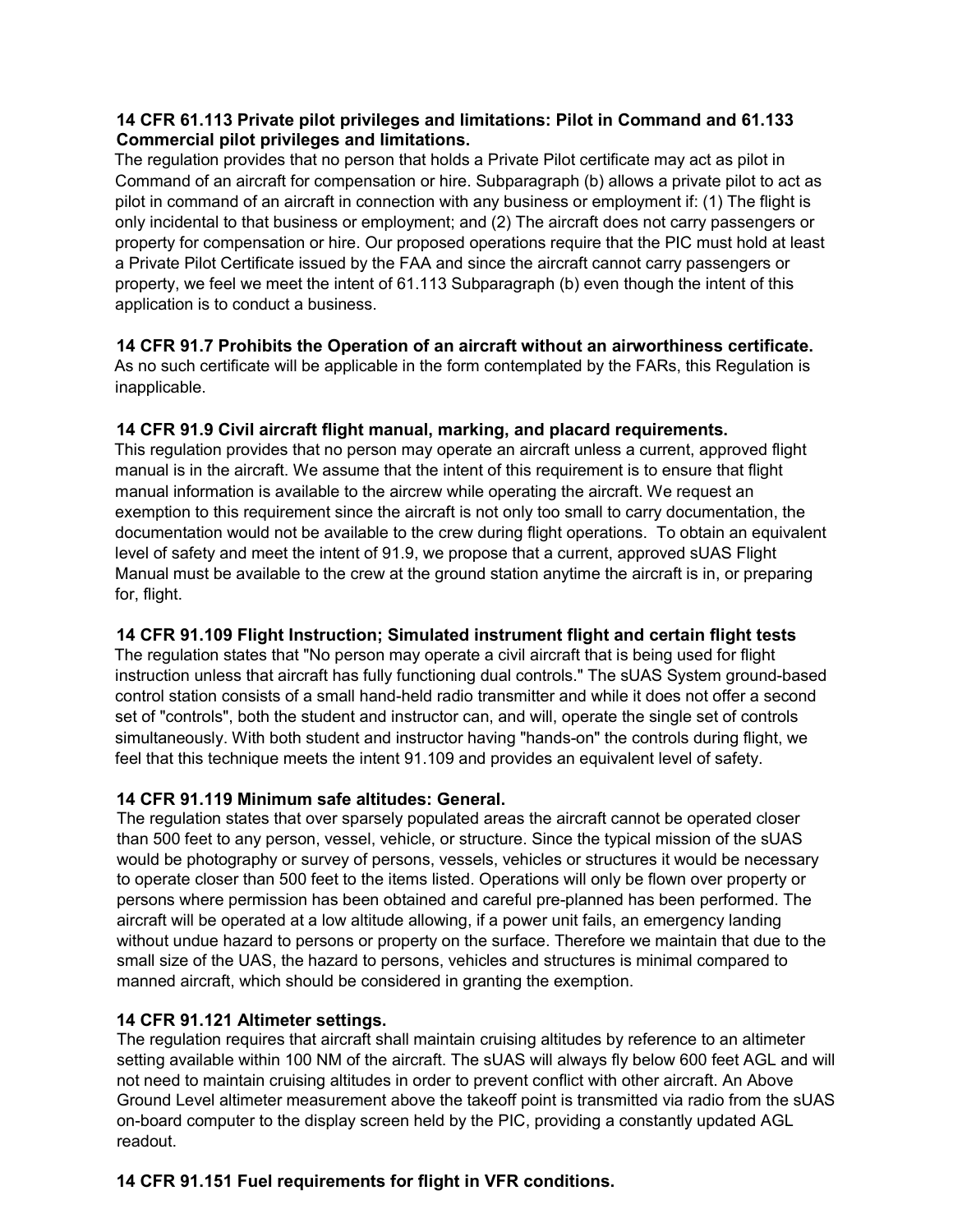### **14 CFR 61.113 Private pilot privileges and limitations: Pilot in Command and 61.133 Commercial pilot privileges and limitations.**

The regulation provides that no person that holds a Private Pilot certificate may act as pilot in Command of an aircraft for compensation or hire. Subparagraph (b) allows a private pilot to act as pilot in command of an aircraft in connection with any business or employment if: (1) The flight is only incidental to that business or employment; and (2) The aircraft does not carry passengers or property for compensation or hire. Our proposed operations require that the PIC must hold at least a Private Pilot Certificate issued by the FAA and since the aircraft cannot carry passengers or property, we feel we meet the intent of 61.113 Subparagraph (b) even though the intent of this application is to conduct a business.

**14 CFR 91.7 Prohibits the Operation of an aircraft without an airworthiness certificate.**  As no such certificate will be applicable in the form contemplated by the FARs, this Regulation is inapplicable.

### **14 CFR 91.9 Civil aircraft flight manual, marking, and placard requirements.**

This regulation provides that no person may operate an aircraft unless a current, approved flight manual is in the aircraft. We assume that the intent of this requirement is to ensure that flight manual information is available to the aircrew while operating the aircraft. We request an exemption to this requirement since the aircraft is not only too small to carry documentation, the documentation would not be available to the crew during flight operations. To obtain an equivalent level of safety and meet the intent of 91.9, we propose that a current, approved sUAS Flight Manual must be available to the crew at the ground station anytime the aircraft is in, or preparing for, flight.

# **14 CFR 91.109 Flight Instruction; Simulated instrument flight and certain flight tests**

The regulation states that "No person may operate a civil aircraft that is being used for flight instruction unless that aircraft has fully functioning dual controls." The sUAS System ground-based control station consists of a small hand-held radio transmitter and while it does not offer a second set of "controls", both the student and instructor can, and will, operate the single set of controls simultaneously. With both student and instructor having "hands-on" the controls during flight, we feel that this technique meets the intent 91.109 and provides an equivalent level of safety.

### **14 CFR 91.119 Minimum safe altitudes: General.**

The regulation states that over sparsely populated areas the aircraft cannot be operated closer than 500 feet to any person, vessel, vehicle, or structure. Since the typical mission of the sUAS would be photography or survey of persons, vessels, vehicles or structures it would be necessary to operate closer than 500 feet to the items listed. Operations will only be flown over property or persons where permission has been obtained and careful pre-planned has been performed. The aircraft will be operated at a low altitude allowing, if a power unit fails, an emergency landing without undue hazard to persons or property on the surface. Therefore we maintain that due to the small size of the UAS, the hazard to persons, vehicles and structures is minimal compared to manned aircraft, which should be considered in granting the exemption.

### **14 CFR 91.121 Altimeter settings.**

The regulation requires that aircraft shall maintain cruising altitudes by reference to an altimeter setting available within 100 NM of the aircraft. The sUAS will always fly below 600 feet AGL and will not need to maintain cruising altitudes in order to prevent conflict with other aircraft. An Above Ground Level altimeter measurement above the takeoff point is transmitted via radio from the sUAS on-board computer to the display screen held by the PIC, providing a constantly updated AGL readout.

# **14 CFR 91.151 Fuel requirements for flight in VFR conditions.**